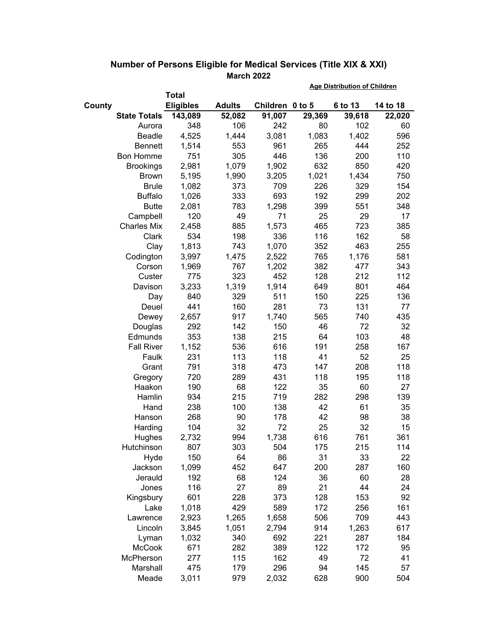|                     |                  |               | <b>Age Distribution of Children</b> |        |         |          |
|---------------------|------------------|---------------|-------------------------------------|--------|---------|----------|
|                     | <b>Total</b>     |               |                                     |        |         |          |
| County              | <b>Eligibles</b> | <b>Adults</b> | Children 0 to 5                     |        | 6 to 13 | 14 to 18 |
| <b>State Totals</b> | 143,089          | 52,082        | 91,007                              | 29,369 | 39,618  | 22,020   |
| Aurora              | 348              | 106           | 242                                 | 80     | 102     | 60       |
| Beadle              | 4,525            | 1,444         | 3,081                               | 1,083  | 1,402   | 596      |
| <b>Bennett</b>      | 1,514            | 553           | 961                                 | 265    | 444     | 252      |
| Bon Homme           | 751              | 305           | 446                                 | 136    | 200     | 110      |
| <b>Brookings</b>    | 2,981            | 1,079         | 1,902                               | 632    | 850     | 420      |
| <b>Brown</b>        | 5,195            | 1,990         | 3,205                               | 1,021  | 1,434   | 750      |
| <b>Brule</b>        | 1,082            | 373           | 709                                 | 226    | 329     | 154      |
| <b>Buffalo</b>      | 1,026            | 333           | 693                                 | 192    | 299     | 202      |
| <b>Butte</b>        | 2,081            | 783           | 1,298                               | 399    | 551     | 348      |
| Campbell            | 120              | 49            | 71                                  | 25     | 29      | 17       |
| <b>Charles Mix</b>  | 2,458            | 885           | 1,573                               | 465    | 723     | 385      |
| Clark               | 534              | 198           | 336                                 | 116    | 162     | 58       |
| Clay                | 1,813            | 743           | 1,070                               | 352    | 463     | 255      |
| Codington           | 3,997            | 1,475         | 2,522                               | 765    | 1,176   | 581      |
| Corson              | 1,969            | 767           | 1,202                               | 382    | 477     | 343      |
| Custer              | 775              | 323           | 452                                 | 128    | 212     | 112      |
| Davison             | 3,233            | 1,319         | 1,914                               | 649    | 801     | 464      |
| Day                 | 840              | 329           | 511                                 | 150    | 225     | 136      |
| Deuel               | 441              | 160           | 281                                 | 73     | 131     | 77       |
| Dewey               | 2,657            | 917           | 1,740                               | 565    | 740     | 435      |
| Douglas             | 292              | 142           | 150                                 | 46     | 72      | 32       |
| Edmunds             | 353              | 138           | 215                                 | 64     | 103     | 48       |
| <b>Fall River</b>   | 1,152            | 536           | 616                                 | 191    | 258     | 167      |
| Faulk               | 231              | 113           | 118                                 | 41     | 52      | 25       |
| Grant               | 791              | 318           | 473                                 | 147    | 208     | 118      |
| Gregory             | 720              | 289           | 431                                 | 118    | 195     | 118      |
| Haakon              | 190              | 68            | 122                                 | 35     | 60      | 27       |
| Hamlin              | 934              | 215           | 719                                 | 282    | 298     | 139      |
| Hand                | 238              | 100           | 138                                 | 42     | 61      | 35       |
| Hanson              | 268              | 90            | 178                                 | 42     | 98      | 38       |
| Harding             | 104              | 32            | 72                                  | 25     | 32      | 15       |
| Hughes              | 2,732            | 994           | 1,738                               | 616    | 761     | 361      |
| Hutchinson          | 807              | 303           | 504                                 | 175    | 215     | 114      |
| Hyde                | 150              | 64            | 86                                  | 31     | 33      | 22       |
| Jackson             | 1,099            | 452           | 647                                 | 200    | 287     | 160      |
| Jerauld             | 192              | 68            | 124                                 | 36     | 60      | 28       |
| Jones               | 116              | 27            | 89                                  | 21     | 44      | 24       |
| Kingsbury           | 601              | 228           | 373                                 | 128    | 153     | 92       |
| Lake                | 1,018            | 429           | 589                                 | 172    | 256     | 161      |
| Lawrence            | 2,923            | 1,265         | 1,658                               | 506    | 709     | 443      |
| Lincoln             | 3,845            | 1,051         | 2,794                               | 914    | 1,263   | 617      |
| Lyman               | 1,032            | 340           | 692                                 | 221    | 287     | 184      |
| <b>McCook</b>       | 671              | 282           | 389                                 | 122    | 172     | 95       |
| McPherson           | 277              | 115           | 162                                 | 49     | 72      | 41       |
| Marshall            | 475              | 179           | 296                                 | 94     | 145     | 57       |
| Meade               | 3,011            | 979           | 2,032                               | 628    | 900     | 504      |

## **Number of Persons Eligible for Medical Services (Title XIX & XXI) March 2022**